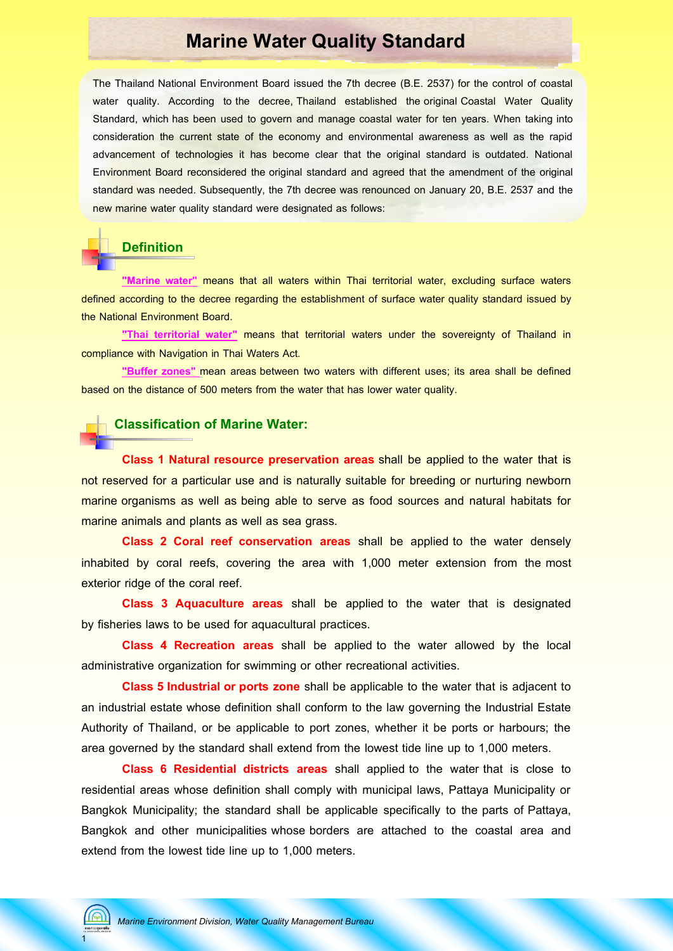## **Marine Water Quality Standard**

The Thailand National Environment Board issued the 7th decree (B.E. 2537) for the control of coastal water quality. According to the decree, Thailand established the original Coastal Water Quality Standard, which has been used to govern and manage coastal water for ten years. When taking into consideration the current state of the economy and environmental awareness as well as the rapid advancement of technologies it has become clear that the original standard is outdated. National Environment Board reconsidered the original standard and agreed that the amendment of the original standard was needed. Subsequently, the 7th decree was renounced on January 20, B.E. 2537 and the new marine water quality standard were designated as follows:

### **Definition**

**"Marine water"** means that all waters within Thai territorial water, excluding surface waters defined according to the decree regarding the establishment of surface water quality standard issued by the National Environment Board.

**"Thai territorial water"** means that territorial waters under the sovereignty of Thailand in compliance with Navigation in Thai Waters Act.

**"Buffer zones"** mean areas between two waters with different uses; its area shall be defined based on the distance of 500 meters from the water that has lower water quality.

### **Classification of Marine Water:**

 **Class 1 Natural resource preservation areas** shall be applied to the water that is not reserved for a particular use and is naturally suitable for breeding or nurturing newborn marine organisms as well as being able to serve as food sources and natural habitats for marine animals and plants as well as sea grass.

**Class 2 Coral reef conservation areas** shall be applied to the water densely inhabited by coral reefs, covering the area with 1,000 meter extension from the most exterior ridge of the coral reef.

**Class 3 Aquaculture areas** shall be applied to the water that is designated by fisheries laws to be used for aquacultural practices.

**Class 4 Recreation areas** shall be applied to the water allowed by the local administrative organization for swimming or other recreational activities.

**Class 5 Industrial or ports zone** shall be applicable to the water that is adjacent to an industrial estate whose definition shall conform to the law governing the Industrial Estate Authority of Thailand, or be applicable to port zones, whether it be ports or harbours; the area governed by the standard shall extend from the lowest tide line up to 1,000 meters.

**Class 6 Residential districts areas** shall applied to the water that is close to residential areas whose definition shall comply with municipal laws, Pattaya Municipality or Bangkok Municipality; the standard shall be applicable specifically to the parts of Pattaya, Bangkok and other municipalities whose borders are attached to the coastal area and extend from the lowest tide line up to 1,000 meters.

1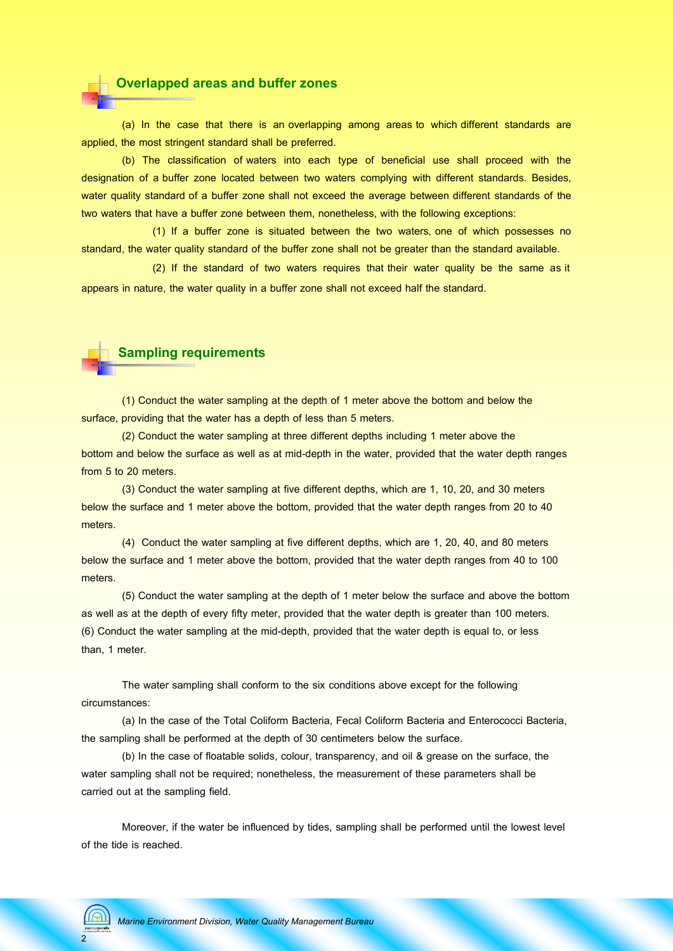

(a) In the case that there is an overlapping among areas to which different standards are applied, the most stringent standard shall be preferred.

(b) The classification of waters into each type of beneficial use shall proceed with the designation of a buffer zone located between two waters complying with different standards. Besides, water quality standard of a buffer zone shall not exceed the average between different standards of the two waters that have a buffer zone between them, nonetheless, with the following exceptions:

(1) If a buffer zone is situated between the two waters, one of which possesses no standard, the water quality standard of the buffer zone shall not be greater than the standard available.

 (2) If the standard of two waters requires that their water quality be the same as it appears in nature, the water quality in a buffer zone shall not exceed half the standard.



(1) Conduct the water sampling at the depth of 1 meter above the bottom and below the surface, providing that the water has a depth of less than 5 meters.

(2) Conduct the water sampling at three different depths including 1 meter above the bottom and below the surface as well as at mid-depth in the water, provided that the water depth ranges from 5 to 20 meters.

(3) Conduct the water sampling at five different depths, which are 1, 10, 20, and 30 meters below the surface and 1 meter above the bottom, provided that the water depth ranges from 20 to 40 meters.

(4) Conduct the water sampling at five different depths, which are 1, 20, 40, and 80 meters below the surface and 1 meter above the bottom, provided that the water depth ranges from 40 to 100 meters.

(5) Conduct the water sampling at the depth of 1 meter below the surface and above the bottom as well as at the depth of every fifty meter, provided that the water depth is greater than 100 meters. (6) Conduct the water sampling at the mid-depth, provided that the water depth is equal to, or less than, 1 meter.

The water sampling shall conform to the six conditions above except for the following circumstances:

(a) In the case of the Total Coliform Bacteria, Fecal Coliform Bacteria and Enterococci Bacteria, the sampling shall be performed at the depth of 30 centimeters below the surface.

(b) In the case of floatable solids, colour, transparency, and oil & grease on the surface, the water sampling shall not be required; nonetheless, the measurement of these parameters shall be carried out at the sampling field.

Moreover, if the water be influenced by tides, sampling shall be performed until the lowest level of the tide is reached.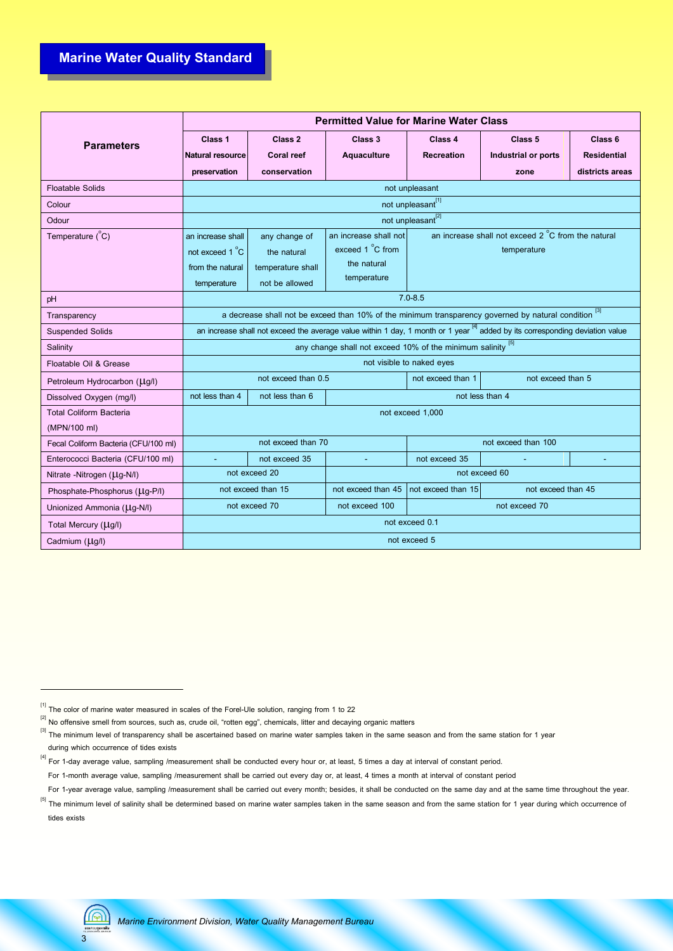## **Marine Water Quality Standard**

|                                      | <b>Permitted Value for Marine Water Class</b>                                                                                            |                               |                       |                                                    |                            |                    |  |  |  |  |
|--------------------------------------|------------------------------------------------------------------------------------------------------------------------------------------|-------------------------------|-----------------------|----------------------------------------------------|----------------------------|--------------------|--|--|--|--|
| <b>Parameters</b>                    | Class 1                                                                                                                                  | Class 2                       | Class 3               | Class 4                                            | Class <sub>5</sub>         | Class <sub>6</sub> |  |  |  |  |
|                                      | <b>Natural resource</b>                                                                                                                  | <b>Coral reef</b>             | Aquaculture           | <b>Recreation</b>                                  | <b>Industrial or ports</b> | <b>Residential</b> |  |  |  |  |
|                                      | preservation                                                                                                                             | conservation                  |                       |                                                    | zone                       | districts areas    |  |  |  |  |
| <b>Floatable Solids</b>              | not unpleasant                                                                                                                           |                               |                       |                                                    |                            |                    |  |  |  |  |
| Colour                               | not unpleasant <sup>[1]</sup>                                                                                                            |                               |                       |                                                    |                            |                    |  |  |  |  |
| Odour                                |                                                                                                                                          | not unpleasant <sup>[2]</sup> |                       |                                                    |                            |                    |  |  |  |  |
| Temperature $(^{\circ}C)$            | an increase shall                                                                                                                        | any change of                 | an increase shall not | an increase shall not exceed 2 °C from the natural |                            |                    |  |  |  |  |
|                                      | not exceed 1 °C                                                                                                                          | the natural                   | exceed 1 °C from      |                                                    | temperature                |                    |  |  |  |  |
|                                      | from the natural                                                                                                                         | temperature shall             | the natural           |                                                    |                            |                    |  |  |  |  |
|                                      | temperature                                                                                                                              | not be allowed                | temperature           |                                                    |                            |                    |  |  |  |  |
| pH                                   | $7.0 - 8.5$                                                                                                                              |                               |                       |                                                    |                            |                    |  |  |  |  |
| Transparency                         | a decrease shall not be exceed than 10% of the minimum transparency governed by natural condition [3]                                    |                               |                       |                                                    |                            |                    |  |  |  |  |
| <b>Suspended Solids</b>              | an increase shall not exceed the average value within 1 day, 1 month or 1 year <sup>[4]</sup> added by its corresponding deviation value |                               |                       |                                                    |                            |                    |  |  |  |  |
| Salinity                             | any change shall not exceed 10% of the minimum salinity [5]                                                                              |                               |                       |                                                    |                            |                    |  |  |  |  |
| Floatable Oil & Grease               | not visible to naked eyes                                                                                                                |                               |                       |                                                    |                            |                    |  |  |  |  |
| Petroleum Hydrocarbon (Ltg/l)        | not exceed than 0.5<br>not exceed than 1<br>not exceed than 5                                                                            |                               |                       |                                                    |                            |                    |  |  |  |  |
| Dissolved Oxygen (mg/l)              | not less than 4<br>not less than 6                                                                                                       |                               |                       | not less than 4                                    |                            |                    |  |  |  |  |
| <b>Total Coliform Bacteria</b>       | not exceed 1,000                                                                                                                         |                               |                       |                                                    |                            |                    |  |  |  |  |
| (MPN/100 ml)                         |                                                                                                                                          |                               |                       |                                                    |                            |                    |  |  |  |  |
| Fecal Coliform Bacteria (CFU/100 ml) |                                                                                                                                          | not exceed than 70            |                       | not exceed than 100                                |                            |                    |  |  |  |  |
| Enterococci Bacteria (CFU/100 ml)    |                                                                                                                                          | not exceed 35                 |                       | not exceed 35                                      |                            |                    |  |  |  |  |
| Nitrate -Nitrogen (Llg-N/I)          | not exceed 20<br>not exceed 60                                                                                                           |                               |                       |                                                    |                            |                    |  |  |  |  |
| Phosphate-Phosphorus (Ltg-P/I)       |                                                                                                                                          | not exceed than 15            | not exceed than 45    | not exceed than 15                                 | not exceed than 45         |                    |  |  |  |  |
| Unionized Ammonia (LIg-N/I)          |                                                                                                                                          | not exceed 70                 |                       | not exceed 70                                      |                            |                    |  |  |  |  |
| Total Mercury (Ltg/I)                | not exceed 0.1                                                                                                                           |                               |                       |                                                    |                            |                    |  |  |  |  |
| Cadmium (Llg/l)                      | not exceed 5                                                                                                                             |                               |                       |                                                    |                            |                    |  |  |  |  |



 $^{[1]}$  The color of marine water measured in scales of the Forel-Ule solution, ranging from 1 to 22

 $^{[2]}$  No offensive smell from sources, such as, crude oil, "rotten egg", chemicals, litter and decaying organic matters

 $^{[3]}$  The minimum level of transparency shall be ascertained based on marine water samples taken in the same season and from the same station for 1 year during which occurrence of tides exists

<sup>&</sup>lt;sup>[4]</sup> For 1-day average value, sampling /measurement shall be conducted every hour or, at least, 5 times a day at interval of constant period.

For 1-month average value, sampling /measurement shall be carried out every day or, at least, 4 times a month at interval of constant period

For 1-year average value, sampling /measurement shall be carried out every month; besides, it shall be conducted on the same day and at the same time throughout the year.

 $^{[5]}$  The minimum level of salinity shall be determined based on marine water samples taken in the same season and from the same station for 1 year during which occurrence of tides exists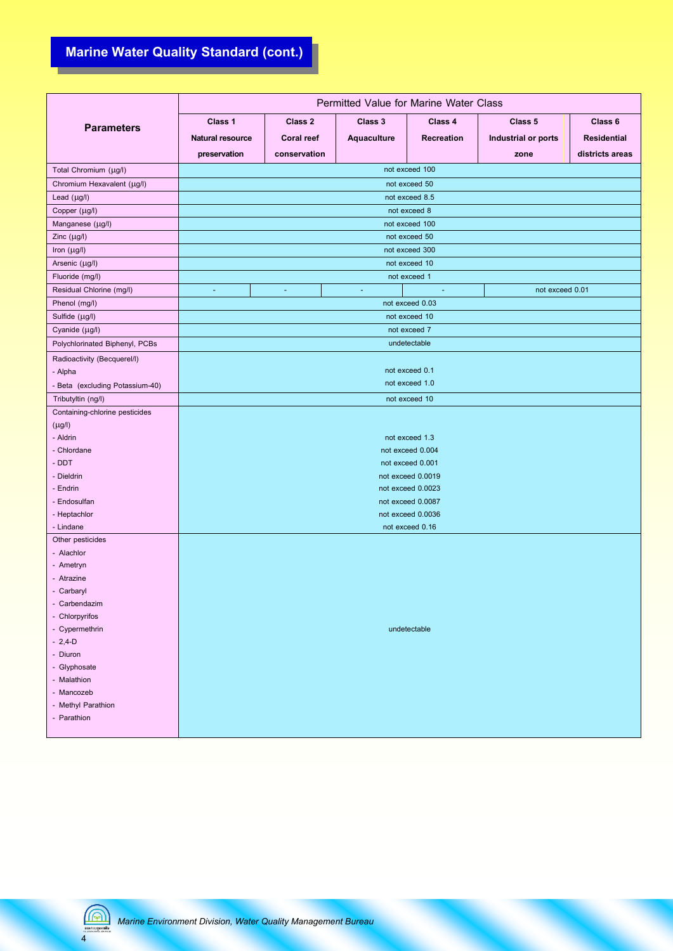# **Marine Water Quality Standard (cont.)**

|                                 | Permitted Value for Marine Water Class |                   |                    |                             |                     |                    |  |  |  |  |
|---------------------------------|----------------------------------------|-------------------|--------------------|-----------------------------|---------------------|--------------------|--|--|--|--|
| <b>Parameters</b>               | Class 1                                | Class 2           | Class 3            | Class 4                     |                     | Class 6            |  |  |  |  |
|                                 | <b>Natural resource</b>                | <b>Coral reef</b> | <b>Aquaculture</b> | <b>Recreation</b>           | Industrial or ports | <b>Residential</b> |  |  |  |  |
|                                 | preservation                           | conservation      |                    |                             | zone                | districts areas    |  |  |  |  |
| Total Chromium (µg/l)           |                                        |                   |                    | not exceed 100              |                     |                    |  |  |  |  |
| Chromium Hexavalent (µg/l)      |                                        |                   |                    | not exceed 50               |                     |                    |  |  |  |  |
| Lead $(\mu g/l)$                |                                        |                   |                    | not exceed 8.5              |                     |                    |  |  |  |  |
| Copper (µg/l)                   |                                        |                   |                    | not exceed 8                |                     |                    |  |  |  |  |
| Manganese (µg/l)                |                                        |                   |                    | not exceed 100              |                     |                    |  |  |  |  |
| Zinc $(\mu g/l)$                |                                        |                   |                    | not exceed 50               |                     |                    |  |  |  |  |
| Iron (µg/l)                     |                                        |                   |                    | not exceed 300              |                     |                    |  |  |  |  |
| Arsenic (µg/l)                  |                                        |                   |                    | not exceed 10               |                     |                    |  |  |  |  |
| Fluoride (mg/l)                 |                                        |                   |                    | not exceed 1                |                     |                    |  |  |  |  |
| Residual Chlorine (mg/l)        | ÷                                      | $\blacksquare$    | ÷                  | $\mathcal{L}_{\mathcal{C}}$ | not exceed 0.01     |                    |  |  |  |  |
| Phenol (mg/l)                   |                                        |                   |                    | not exceed 0.03             |                     |                    |  |  |  |  |
| Sulfide (µg/l)                  |                                        |                   |                    | not exceed 10               |                     |                    |  |  |  |  |
| Cyanide (µg/l)                  |                                        |                   |                    | not exceed 7                |                     |                    |  |  |  |  |
| Polychlorinated Biphenyl, PCBs  |                                        |                   |                    | undetectable                |                     |                    |  |  |  |  |
| Radioactivity (Becquerel/I)     |                                        |                   |                    |                             |                     |                    |  |  |  |  |
| - Alpha                         |                                        |                   |                    | not exceed 0.1              |                     |                    |  |  |  |  |
| - Beta (excluding Potassium-40) |                                        |                   |                    | not exceed 1.0              |                     |                    |  |  |  |  |
| Tributyltin (ng/l)              |                                        |                   |                    | not exceed 10               |                     |                    |  |  |  |  |
| Containing-chlorine pesticides  |                                        |                   |                    |                             |                     |                    |  |  |  |  |
| $(\mu$ g/l)                     |                                        |                   |                    |                             |                     |                    |  |  |  |  |
| - Aldrin                        | not exceed 1.3                         |                   |                    |                             |                     |                    |  |  |  |  |
| - Chlordane                     |                                        | not exceed 0.004  |                    |                             |                     |                    |  |  |  |  |
| - DDT                           | not exceed 0.001                       |                   |                    |                             |                     |                    |  |  |  |  |
| - Dieldrin                      | not exceed 0.0019                      |                   |                    |                             |                     |                    |  |  |  |  |
| - Endrin                        | not exceed 0.0023                      |                   |                    |                             |                     |                    |  |  |  |  |
| - Endosulfan                    | not exceed 0.0087                      |                   |                    |                             |                     |                    |  |  |  |  |
| - Heptachlor<br>- Lindane       | not exceed 0.0036                      |                   |                    |                             |                     |                    |  |  |  |  |
| Other pesticides                | not exceed 0.16                        |                   |                    |                             |                     |                    |  |  |  |  |
| - Alachlor                      |                                        |                   |                    |                             |                     |                    |  |  |  |  |
| - Ametryn                       |                                        |                   |                    |                             |                     |                    |  |  |  |  |
| - Atrazine                      |                                        |                   |                    |                             |                     |                    |  |  |  |  |
| - Carbaryl                      |                                        |                   |                    |                             |                     |                    |  |  |  |  |
| - Carbendazim                   |                                        |                   |                    |                             |                     |                    |  |  |  |  |
| - Chlorpyrifos                  |                                        |                   |                    |                             |                     |                    |  |  |  |  |
| - Cypermethrin                  | undetectable                           |                   |                    |                             |                     |                    |  |  |  |  |
| $-2,4-D$                        |                                        |                   |                    |                             |                     |                    |  |  |  |  |
| - Diuron                        |                                        |                   |                    |                             |                     |                    |  |  |  |  |
| - Glyphosate                    |                                        |                   |                    |                             |                     |                    |  |  |  |  |
| - Malathion                     |                                        |                   |                    |                             |                     |                    |  |  |  |  |
| - Mancozeb                      |                                        |                   |                    |                             |                     |                    |  |  |  |  |
| - Methyl Parathion              |                                        |                   |                    |                             |                     |                    |  |  |  |  |
| - Parathion                     |                                        |                   |                    |                             |                     |                    |  |  |  |  |

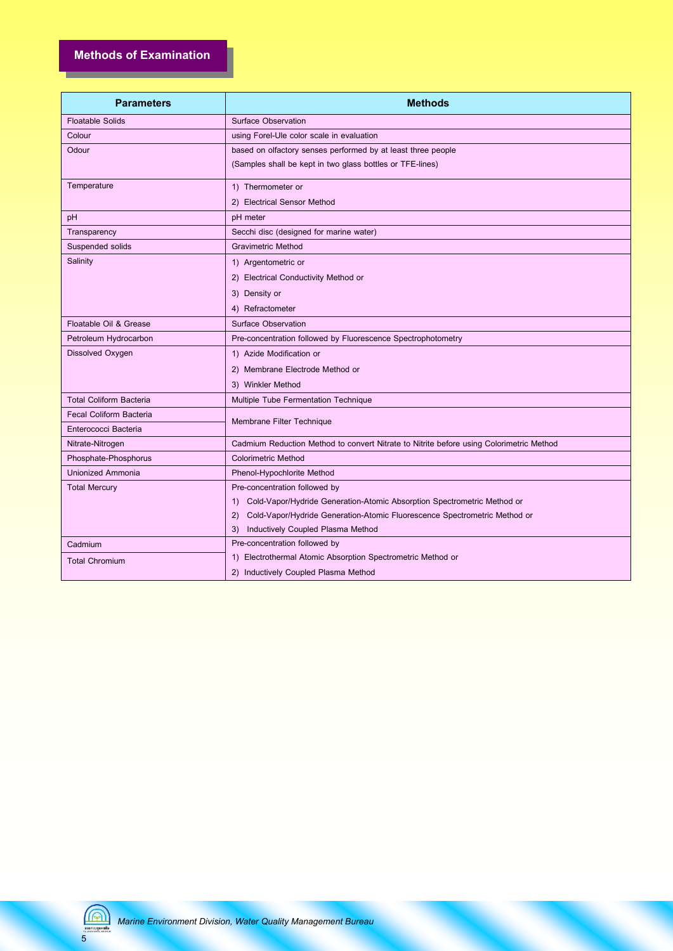| <b>Parameters</b>              | <b>Methods</b>                                                                          |  |  |  |
|--------------------------------|-----------------------------------------------------------------------------------------|--|--|--|
| <b>Floatable Solids</b>        | <b>Surface Observation</b>                                                              |  |  |  |
| Colour                         | using Forel-Ule color scale in evaluation                                               |  |  |  |
| Odour                          | based on olfactory senses performed by at least three people                            |  |  |  |
|                                | (Samples shall be kept in two glass bottles or TFE-lines)                               |  |  |  |
| Temperature                    | 1) Thermometer or                                                                       |  |  |  |
|                                | 2) Electrical Sensor Method                                                             |  |  |  |
| pH                             | pH meter                                                                                |  |  |  |
| Transparency                   | Secchi disc (designed for marine water)                                                 |  |  |  |
| Suspended solids               | Gravimetric Method                                                                      |  |  |  |
| Salinity                       | 1) Argentometric or                                                                     |  |  |  |
|                                | 2) Electrical Conductivity Method or                                                    |  |  |  |
|                                | 3) Density or                                                                           |  |  |  |
|                                | 4) Refractometer                                                                        |  |  |  |
| Floatable Oil & Grease         | <b>Surface Observation</b>                                                              |  |  |  |
| Petroleum Hydrocarbon          | Pre-concentration followed by Fluorescence Spectrophotometry                            |  |  |  |
| Dissolved Oxygen               | 1) Azide Modification or                                                                |  |  |  |
|                                | 2) Membrane Electrode Method or                                                         |  |  |  |
|                                | 3) Winkler Method                                                                       |  |  |  |
| <b>Total Coliform Bacteria</b> | Multiple Tube Fermentation Technique                                                    |  |  |  |
| <b>Fecal Coliform Bacteria</b> | Membrane Filter Technique                                                               |  |  |  |
| Enterococci Bacteria           |                                                                                         |  |  |  |
| Nitrate-Nitrogen               | Cadmium Reduction Method to convert Nitrate to Nitrite before using Colorimetric Method |  |  |  |
| Phosphate-Phosphorus           | <b>Colorimetric Method</b>                                                              |  |  |  |
| <b>Unionized Ammonia</b>       | Phenol-Hypochlorite Method                                                              |  |  |  |
| <b>Total Mercury</b>           | Pre-concentration followed by                                                           |  |  |  |
|                                | Cold-Vapor/Hydride Generation-Atomic Absorption Spectrometric Method or<br>1)           |  |  |  |
|                                | Cold-Vapor/Hydride Generation-Atomic Fluorescence Spectrometric Method or<br>2)         |  |  |  |
|                                | Inductively Coupled Plasma Method<br>3)                                                 |  |  |  |
| Cadmium                        | Pre-concentration followed by                                                           |  |  |  |
| <b>Total Chromium</b>          | 1) Electrothermal Atomic Absorption Spectrometric Method or                             |  |  |  |
|                                | 2) Inductively Coupled Plasma Method                                                    |  |  |  |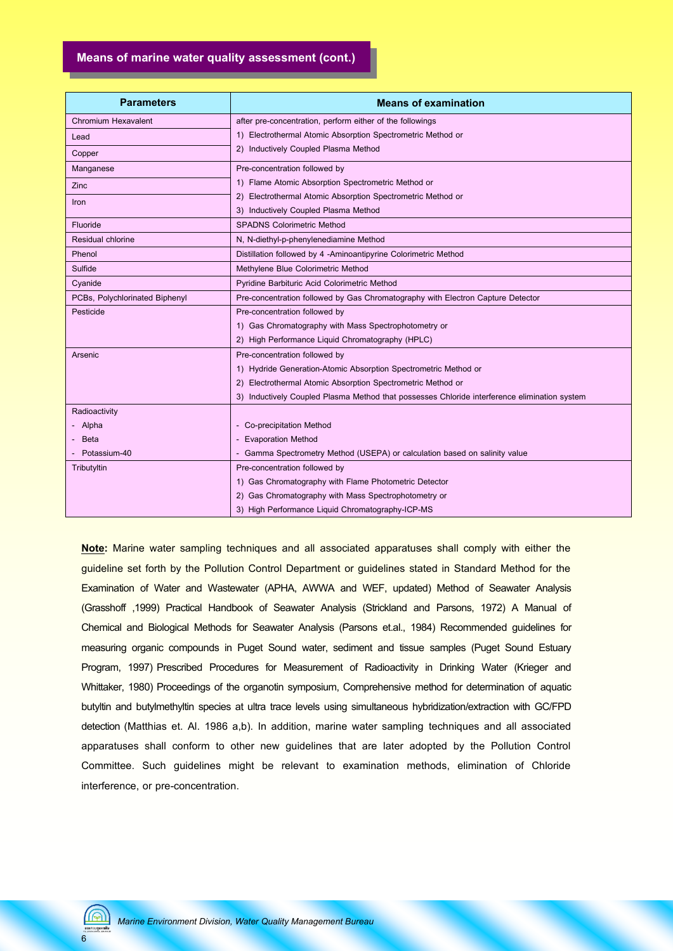### **Means of marine water quality assessment (cont.)**

| <b>Parameters</b>              | <b>Means of examination</b>                                                                  |  |  |  |  |  |
|--------------------------------|----------------------------------------------------------------------------------------------|--|--|--|--|--|
| <b>Chromium Hexavalent</b>     | after pre-concentration, perform either of the followings                                    |  |  |  |  |  |
| Lead                           | 1) Electrothermal Atomic Absorption Spectrometric Method or                                  |  |  |  |  |  |
| Copper                         | 2) Inductively Coupled Plasma Method                                                         |  |  |  |  |  |
| Manganese                      | Pre-concentration followed by                                                                |  |  |  |  |  |
| Zinc                           | 1) Flame Atomic Absorption Spectrometric Method or                                           |  |  |  |  |  |
| <b>Iron</b>                    | Electrothermal Atomic Absorption Spectrometric Method or<br>2)                               |  |  |  |  |  |
|                                | 3) Inductively Coupled Plasma Method                                                         |  |  |  |  |  |
| Fluoride                       | <b>SPADNS Colorimetric Method</b>                                                            |  |  |  |  |  |
| Residual chlorine              | N, N-diethyl-p-phenylenediamine Method                                                       |  |  |  |  |  |
| Phenol                         | Distillation followed by 4 -Aminoantipyrine Colorimetric Method                              |  |  |  |  |  |
| Sulfide                        | Methylene Blue Colorimetric Method                                                           |  |  |  |  |  |
| Cyanide                        | Pyridine Barbituric Acid Colorimetric Method                                                 |  |  |  |  |  |
| PCBs, Polychlorinated Biphenyl | Pre-concentration followed by Gas Chromatography with Electron Capture Detector              |  |  |  |  |  |
| Pesticide                      | Pre-concentration followed by                                                                |  |  |  |  |  |
|                                | 1) Gas Chromatography with Mass Spectrophotometry or                                         |  |  |  |  |  |
|                                | 2) High Performance Liquid Chromatography (HPLC)                                             |  |  |  |  |  |
| Arsenic                        | Pre-concentration followed by                                                                |  |  |  |  |  |
|                                | 1) Hydride Generation-Atomic Absorption Spectrometric Method or                              |  |  |  |  |  |
|                                | Electrothermal Atomic Absorption Spectrometric Method or                                     |  |  |  |  |  |
|                                | 3) Inductively Coupled Plasma Method that possesses Chloride interference elimination system |  |  |  |  |  |
| Radioactivity                  |                                                                                              |  |  |  |  |  |
| Alpha                          | - Co-precipitation Method                                                                    |  |  |  |  |  |
| <b>Beta</b>                    | - Evaporation Method                                                                         |  |  |  |  |  |
| Potassium-40                   | - Gamma Spectrometry Method (USEPA) or calculation based on salinity value                   |  |  |  |  |  |
| Tributyltin                    | Pre-concentration followed by                                                                |  |  |  |  |  |
|                                | 1) Gas Chromatography with Flame Photometric Detector                                        |  |  |  |  |  |
|                                | 2) Gas Chromatography with Mass Spectrophotometry or                                         |  |  |  |  |  |
|                                | 3) High Performance Liquid Chromatography-ICP-MS                                             |  |  |  |  |  |

**Note:** Marine water sampling techniques and all associated apparatuses shall comply with either the guideline set forth by the Pollution Control Department or guidelines stated in Standard Method for the Examination of Water and Wastewater (APHA, AWWA and WEF, updated) Method of Seawater Analysis (Grasshoff ,1999) Practical Handbook of Seawater Analysis (Strickland and Parsons, 1972) A Manual of Chemical and Biological Methods for Seawater Analysis (Parsons et.al., 1984) Recommended guidelines for measuring organic compounds in Puget Sound water, sediment and tissue samples (Puget Sound Estuary Program, 1997) Prescribed Procedures for Measurement of Radioactivity in Drinking Water (Krieger and Whittaker, 1980) Proceedings of the organotin symposium, Comprehensive method for determination of aquatic butyltin and butylmethyltin species at ultra trace levels using simultaneous hybridization/extraction with GC/FPD detection (Matthias et. Al. 1986 a,b). In addition, marine water sampling techniques and all associated apparatuses shall conform to other new guidelines that are later adopted by the Pollution Control Committee. Such guidelines might be relevant to examination methods, elimination of Chloride interference, or pre-concentration.